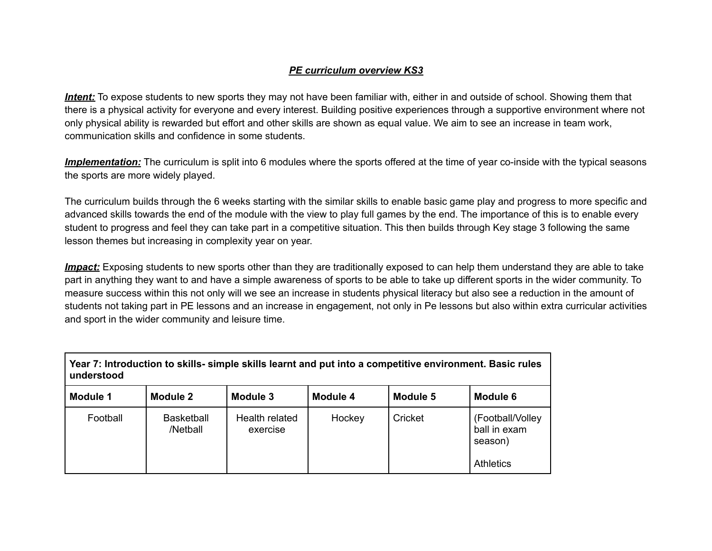## *PE curriculum overview KS3*

*Intent:* To expose students to new sports they may not have been familiar with, either in and outside of school. Showing them that there is a physical activity for everyone and every interest. Building positive experiences through a supportive environment where not only physical ability is rewarded but effort and other skills are shown as equal value. We aim to see an increase in team work, communication skills and confidence in some students.

*Implementation:* The curriculum is split into 6 modules where the sports offered at the time of year co-inside with the typical seasons the sports are more widely played.

The curriculum builds through the 6 weeks starting with the similar skills to enable basic game play and progress to more specific and advanced skills towards the end of the module with the view to play full games by the end. The importance of this is to enable every student to progress and feel they can take part in a competitive situation. This then builds through Key stage 3 following the same lesson themes but increasing in complexity year on year.

*Impact:* Exposing students to new sports other than they are traditionally exposed to can help them understand they are able to take part in anything they want to and have a simple awareness of sports to be able to take up different sports in the wider community. To measure success within this not only will we see an increase in students physical literacy but also see a reduction in the amount of students not taking part in PE lessons and an increase in engagement, not only in Pe lessons but also within extra curricular activities and sport in the wider community and leisure time.

| Year 7: Introduction to skills- simple skills learnt and put into a competitive environment. Basic rules<br>understood |                               |                            |          |          |                                              |  |  |  |
|------------------------------------------------------------------------------------------------------------------------|-------------------------------|----------------------------|----------|----------|----------------------------------------------|--|--|--|
| Module 1                                                                                                               | Module 2                      | Module 3                   | Module 4 | Module 5 | Module 6                                     |  |  |  |
| Football                                                                                                               | <b>Basketball</b><br>/Netball | Health related<br>exercise | Hockey   | Cricket  | (Football/Volley)<br>ball in exam<br>season) |  |  |  |
|                                                                                                                        |                               |                            |          |          | <b>Athletics</b>                             |  |  |  |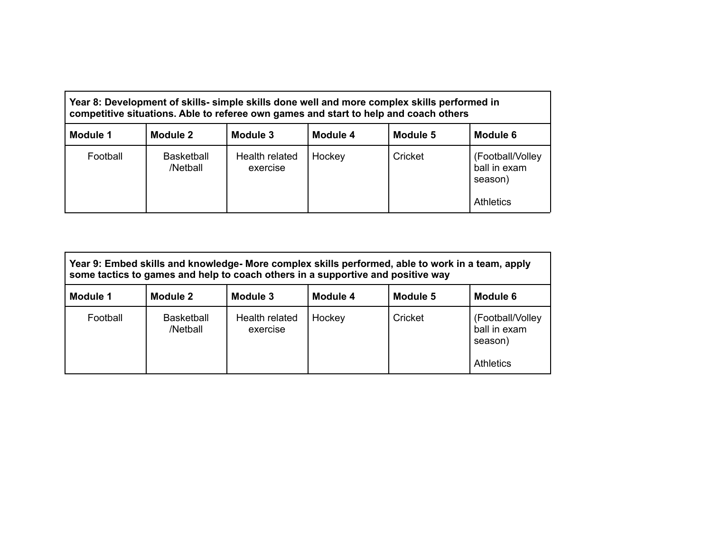| Year 8: Development of skills- simple skills done well and more complex skills performed in<br>competitive situations. Able to referee own games and start to help and coach others |                               |                            |          |          |                                                                  |  |  |  |
|-------------------------------------------------------------------------------------------------------------------------------------------------------------------------------------|-------------------------------|----------------------------|----------|----------|------------------------------------------------------------------|--|--|--|
| Module 1                                                                                                                                                                            | Module 2                      | Module 3                   | Module 4 | Module 5 | Module 6                                                         |  |  |  |
| Football                                                                                                                                                                            | <b>Basketball</b><br>/Netball | Health related<br>exercise | Hockey   | Cricket  | (Football/Volley)<br>ball in exam<br>season)<br><b>Athletics</b> |  |  |  |

| Year 9: Embed skills and knowledge- More complex skills performed, able to work in a team, apply<br>some tactics to games and help to coach others in a supportive and positive way |                               |                            |          |          |                                                                  |  |  |  |
|-------------------------------------------------------------------------------------------------------------------------------------------------------------------------------------|-------------------------------|----------------------------|----------|----------|------------------------------------------------------------------|--|--|--|
| Module 1                                                                                                                                                                            | Module 2                      | Module 3                   | Module 4 | Module 5 | Module 6                                                         |  |  |  |
| Football                                                                                                                                                                            | <b>Basketball</b><br>/Netball | Health related<br>exercise | Hockey   | Cricket  | (Football/Volley)<br>ball in exam<br>season)<br><b>Athletics</b> |  |  |  |